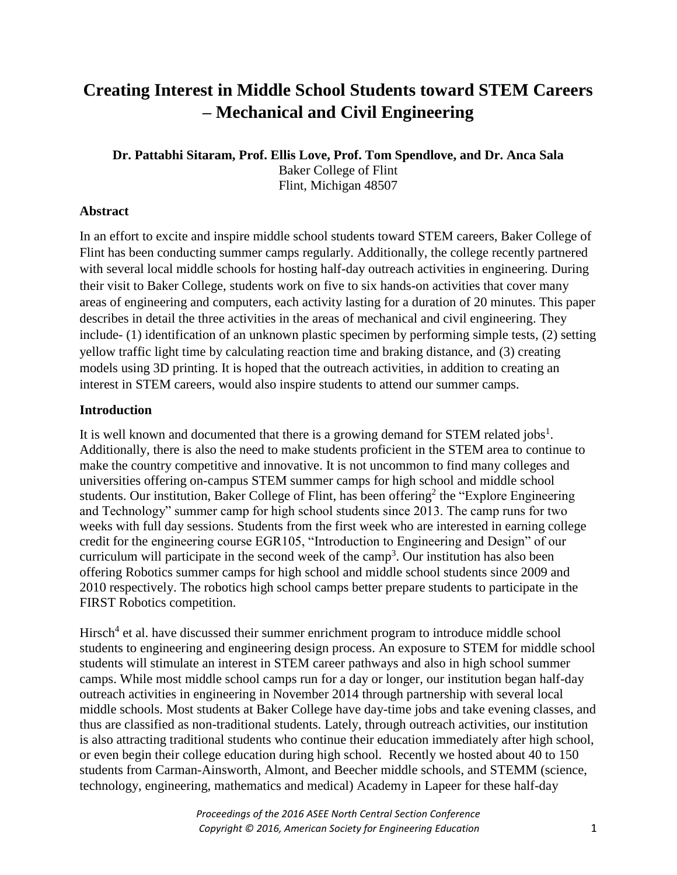# **Creating Interest in Middle School Students toward STEM Careers – Mechanical and Civil Engineering**

**Dr. Pattabhi Sitaram, Prof. Ellis Love, Prof. Tom Spendlove, and Dr. Anca Sala** Baker College of Flint Flint, Michigan 48507

## **Abstract**

In an effort to excite and inspire middle school students toward STEM careers, Baker College of Flint has been conducting summer camps regularly. Additionally, the college recently partnered with several local middle schools for hosting half-day outreach activities in engineering. During their visit to Baker College, students work on five to six hands-on activities that cover many areas of engineering and computers, each activity lasting for a duration of 20 minutes. This paper describes in detail the three activities in the areas of mechanical and civil engineering. They include- (1) identification of an unknown plastic specimen by performing simple tests, (2) setting yellow traffic light time by calculating reaction time and braking distance, and (3) creating models using 3D printing. It is hoped that the outreach activities, in addition to creating an interest in STEM careers, would also inspire students to attend our summer camps.

## **Introduction**

It is well known and documented that there is a growing demand for STEM related jobs<sup>1</sup>. Additionally, there is also the need to make students proficient in the STEM area to continue to make the country competitive and innovative. It is not uncommon to find many colleges and universities offering on-campus STEM summer camps for high school and middle school students. Our institution, Baker College of Flint, has been offering<sup>2</sup> the "Explore Engineering and Technology" summer camp for high school students since 2013. The camp runs for two weeks with full day sessions. Students from the first week who are interested in earning college credit for the engineering course EGR105, "Introduction to Engineering and Design" of our curriculum will participate in the second week of the camp<sup>3</sup>. Our institution has also been offering Robotics summer camps for high school and middle school students since 2009 and 2010 respectively. The robotics high school camps better prepare students to participate in the FIRST Robotics competition.

Hirsch<sup>4</sup> et al. have discussed their summer enrichment program to introduce middle school students to engineering and engineering design process. An exposure to STEM for middle school students will stimulate an interest in STEM career pathways and also in high school summer camps. While most middle school camps run for a day or longer, our institution began half-day outreach activities in engineering in November 2014 through partnership with several local middle schools. Most students at Baker College have day-time jobs and take evening classes, and thus are classified as non-traditional students. Lately, through outreach activities, our institution is also attracting traditional students who continue their education immediately after high school, or even begin their college education during high school. Recently we hosted about 40 to 150 students from Carman-Ainsworth, Almont, and Beecher middle schools, and STEMM (science, technology, engineering, mathematics and medical) Academy in Lapeer for these half-day

> *Proceedings of the 2016 ASEE North Central Section Conference Copyright © 2016, American Society for Engineering Education* 1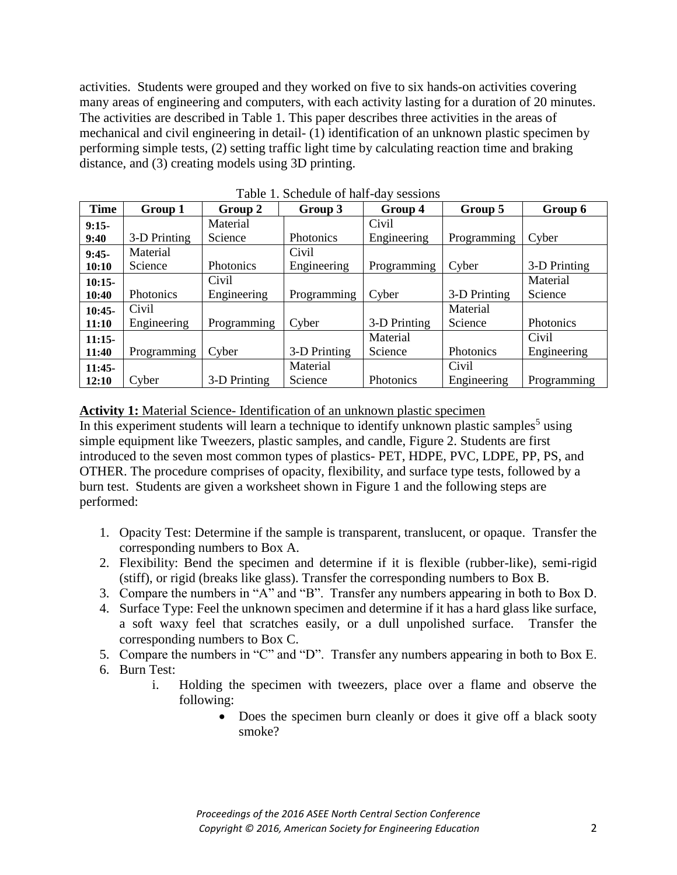activities. Students were grouped and they worked on five to six hands-on activities covering many areas of engineering and computers, with each activity lasting for a duration of 20 minutes. The activities are described in Table 1. This paper describes three activities in the areas of mechanical and civil engineering in detail- (1) identification of an unknown plastic specimen by performing simple tests, (2) setting traffic light time by calculating reaction time and braking distance, and (3) creating models using 3D printing.

| <b>Time</b> | Group 1      | Group 2          | Group 3      | Group 4      | Group 5          | Group 6      |
|-------------|--------------|------------------|--------------|--------------|------------------|--------------|
| $9:15-$     |              | Material         |              | Civil        |                  |              |
| 9:40        | 3-D Printing | Science          | Photonics    | Engineering  | Programming      | Cyber        |
| $9:45-$     | Material     |                  | Civil        |              |                  |              |
| 10:10       | Science      | <b>Photonics</b> | Engineering  | Programming  | Cyber            | 3-D Printing |
| $10:15-$    |              | Civil            |              |              |                  | Material     |
| 10:40       | Photonics    | Engineering      | Programming  | Cyber        | 3-D Printing     | Science      |
| $10:45-$    | Civil        |                  |              |              | Material         |              |
| 11:10       | Engineering  | Programming      | Cyber        | 3-D Printing | Science          | Photonics    |
| $11:15-$    |              |                  |              | Material     |                  | Civil        |
| 11:40       | Programming  | Cyber            | 3-D Printing | Science      | <b>Photonics</b> | Engineering  |
| $11:45-$    |              |                  | Material     |              | Civil            |              |
| 12:10       | Cyber        | 3-D Printing     | Science      | Photonics    | Engineering      | Programming  |

Table 1. Schedule of half-day sessions

## **Activity 1:** Material Science- Identification of an unknown plastic specimen

In this experiment students will learn a technique to identify unknown plastic samples<sup>5</sup> using simple equipment like Tweezers, plastic samples, and candle, Figure 2. Students are first introduced to the seven most common types of plastics- PET, HDPE, PVC, LDPE, PP, PS, and OTHER. The procedure comprises of opacity, flexibility, and surface type tests, followed by a burn test. Students are given a worksheet shown in Figure 1 and the following steps are performed:

- 1. Opacity Test: Determine if the sample is transparent, translucent, or opaque. Transfer the corresponding numbers to Box A.
- 2. Flexibility: Bend the specimen and determine if it is flexible (rubber-like), semi-rigid (stiff), or rigid (breaks like glass). Transfer the corresponding numbers to Box B.
- 3. Compare the numbers in "A" and "B". Transfer any numbers appearing in both to Box D.
- 4. Surface Type: Feel the unknown specimen and determine if it has a hard glass like surface, a soft waxy feel that scratches easily, or a dull unpolished surface. Transfer the corresponding numbers to Box C.
- 5. Compare the numbers in "C" and "D". Transfer any numbers appearing in both to Box E. 6. Burn Test:
	- i. Holding the specimen with tweezers, place over a flame and observe the following:
		- Does the specimen burn cleanly or does it give off a black sooty smoke?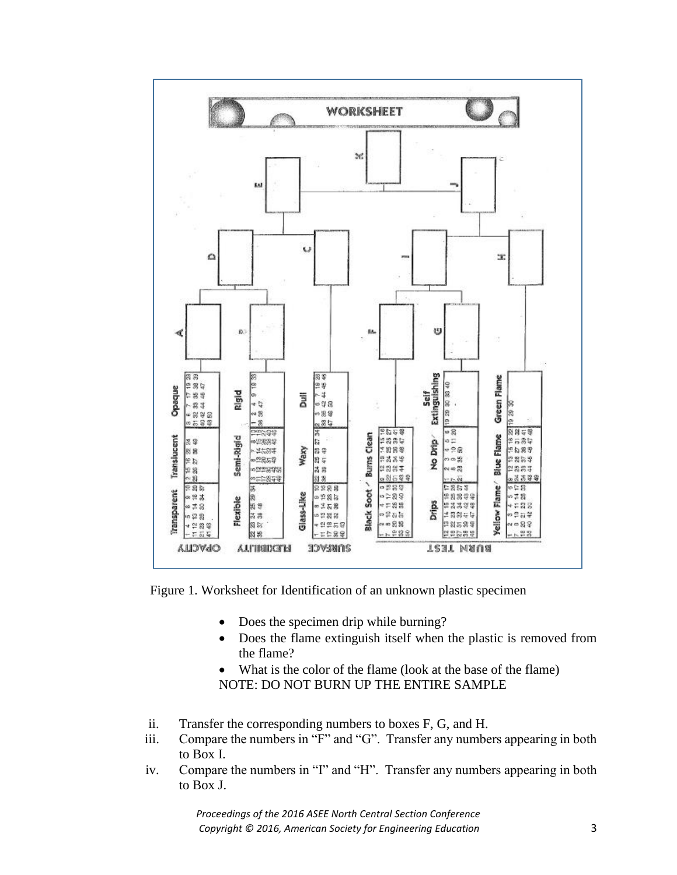

Figure 1. Worksheet for Identification of an unknown plastic specimen

- Does the specimen drip while burning?
- Does the flame extinguish itself when the plastic is removed from the flame?
- What is the color of the flame (look at the base of the flame) NOTE: DO NOT BURN UP THE ENTIRE SAMPLE
- ii. Transfer the corresponding numbers to boxes F, G, and H.
- iii. Compare the numbers in "F" and "G". Transfer any numbers appearing in both to Box I.
- iv. Compare the numbers in "I" and "H". Transfer any numbers appearing in both to Box J.

*Proceedings of the 2016 ASEE North Central Section Conference Copyright © 2016, American Society for Engineering Education* 3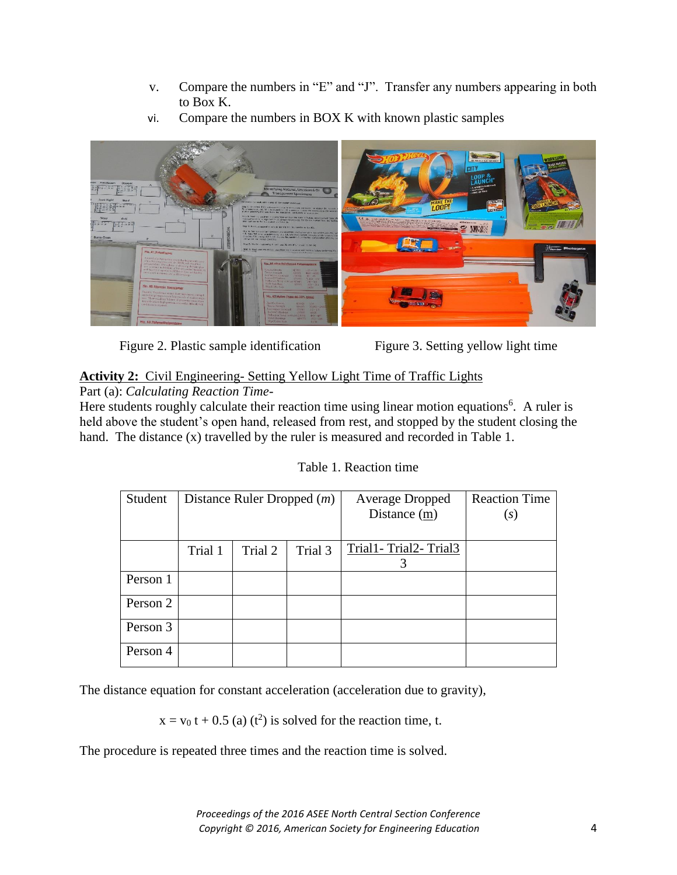- v. Compare the numbers in "E" and "J". Transfer any numbers appearing in both to Box K.
- vi. Compare the numbers in BOX K with known plastic samples



Figure 2. Plastic sample identification Figure 3. Setting yellow light time

## **Activity 2:** Civil Engineering- Setting Yellow Light Time of Traffic Lights

Part (a): *Calculating Reaction Time*-

Here students roughly calculate their reaction time using linear motion equations<sup>6</sup>. A ruler is held above the student's open hand, released from rest, and stopped by the student closing the hand. The distance (x) travelled by the ruler is measured and recorded in Table 1.

| Student  |         | Distance Ruler Dropped $(m)$ |         | <b>Average Dropped</b><br>Distance (m) | <b>Reaction Time</b><br>$\left( s\right)$ |
|----------|---------|------------------------------|---------|----------------------------------------|-------------------------------------------|
|          | Trial 1 | Trial 2                      | Trial 3 | Trial1-Trial2-Trial3<br>3              |                                           |
| Person 1 |         |                              |         |                                        |                                           |
| Person 2 |         |                              |         |                                        |                                           |
| Person 3 |         |                              |         |                                        |                                           |
| Person 4 |         |                              |         |                                        |                                           |

The distance equation for constant acceleration (acceleration due to gravity),

 $x = v_0 t + 0.5$  (a) (t<sup>2</sup>) is solved for the reaction time, t.

The procedure is repeated three times and the reaction time is solved.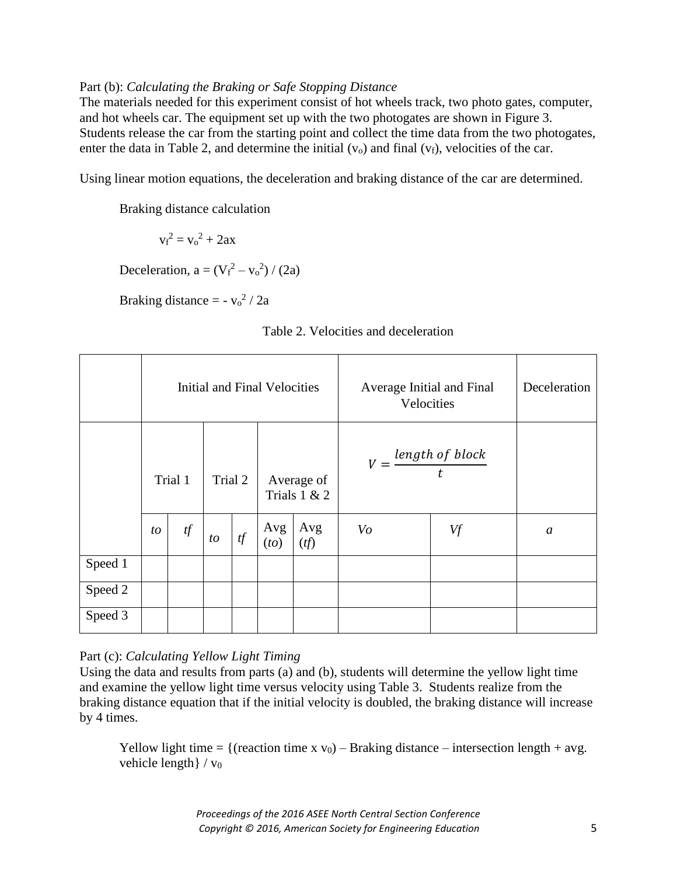## Part (b): *Calculating the Braking or Safe Stopping Distance*

The materials needed for this experiment consist of hot wheels track, two photo gates, computer, and hot wheels car. The equipment set up with the two photogates are shown in Figure 3. Students release the car from the starting point and collect the time data from the two photogates, enter the data in Table 2, and determine the initial  $(v_0)$  and final  $(v_f)$ , velocities of the car.

Using linear motion equations, the deceleration and braking distance of the car are determined.

Braking distance calculation

 $v_f^2 = v_o^2 + 2ax$ 

Deceleration,  $a = (V_f^2 - v_o^2) / (2a)$ 

Braking distance  $= -v_0^2 / 2a$ 

|  |  |  | Table 2. Velocities and deceleration |
|--|--|--|--------------------------------------|
|--|--|--|--------------------------------------|

|         | Initial and Final Velocities |    |                                         |    |                                   |            |    | Average Initial and Final<br>Velocities | Deceleration  |
|---------|------------------------------|----|-----------------------------------------|----|-----------------------------------|------------|----|-----------------------------------------|---------------|
|         | Trial 1                      |    | Trial 2<br>Average of<br>Trials $1 & 2$ |    | $V = \frac{length\ of\ block}{t}$ |            |    |                                         |               |
|         | to                           | tf | to                                      | tf | Avg<br>(to)                       | Avg<br>(f) | Vo | Vf                                      | $\mathfrak a$ |
| Speed 1 |                              |    |                                         |    |                                   |            |    |                                         |               |
| Speed 2 |                              |    |                                         |    |                                   |            |    |                                         |               |
| Speed 3 |                              |    |                                         |    |                                   |            |    |                                         |               |

## Part (c): *Calculating Yellow Light Timing*

Using the data and results from parts (a) and (b), students will determine the yellow light time and examine the yellow light time versus velocity using Table 3. Students realize from the braking distance equation that if the initial velocity is doubled, the braking distance will increase by 4 times.

Yellow light time = {(reaction time x  $v_0$ ) – Braking distance – intersection length + avg. vehicle length $\}/v_0$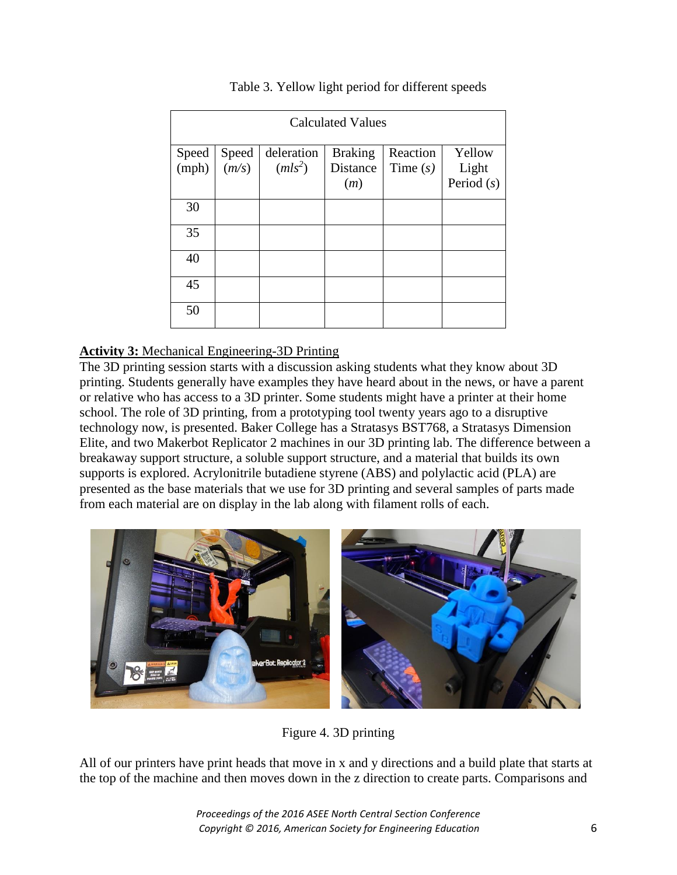| <b>Calculated Values</b> |                |                         |                                   |                        |                                 |  |  |  |
|--------------------------|----------------|-------------------------|-----------------------------------|------------------------|---------------------------------|--|--|--|
| Speed<br>(mph)           | Speed<br>(m/s) | deleration<br>$(mls^2)$ | <b>Braking</b><br>Distance<br>(m) | Reaction<br>Time $(s)$ | Yellow<br>Light<br>Period $(s)$ |  |  |  |
| 30                       |                |                         |                                   |                        |                                 |  |  |  |
| 35                       |                |                         |                                   |                        |                                 |  |  |  |
| 40                       |                |                         |                                   |                        |                                 |  |  |  |
| 45                       |                |                         |                                   |                        |                                 |  |  |  |
| 50                       |                |                         |                                   |                        |                                 |  |  |  |

## Table 3. Yellow light period for different speeds

## **Activity 3:** Mechanical Engineering-3D Printing

The 3D printing session starts with a discussion asking students what they know about 3D printing. Students generally have examples they have heard about in the news, or have a parent or relative who has access to a 3D printer. Some students might have a printer at their home school. The role of 3D printing, from a prototyping tool twenty years ago to a disruptive technology now, is presented. Baker College has a Stratasys BST768, a Stratasys Dimension Elite, and two Makerbot Replicator 2 machines in our 3D printing lab. The difference between a breakaway support structure, a soluble support structure, and a material that builds its own supports is explored. Acrylonitrile butadiene styrene (ABS) and polylactic acid (PLA) are presented as the base materials that we use for 3D printing and several samples of parts made from each material are on display in the lab along with filament rolls of each.



Figure 4. 3D printing

All of our printers have print heads that move in x and y directions and a build plate that starts at the top of the machine and then moves down in the z direction to create parts. Comparisons and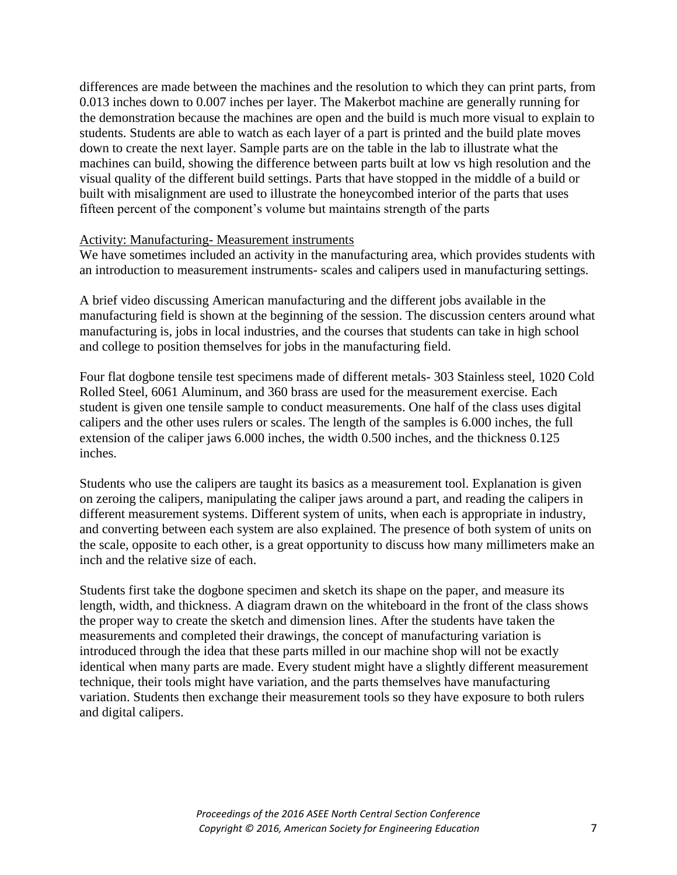differences are made between the machines and the resolution to which they can print parts, from 0.013 inches down to 0.007 inches per layer. The Makerbot machine are generally running for the demonstration because the machines are open and the build is much more visual to explain to students. Students are able to watch as each layer of a part is printed and the build plate moves down to create the next layer. Sample parts are on the table in the lab to illustrate what the machines can build, showing the difference between parts built at low vs high resolution and the visual quality of the different build settings. Parts that have stopped in the middle of a build or built with misalignment are used to illustrate the honeycombed interior of the parts that uses fifteen percent of the component's volume but maintains strength of the parts

#### Activity: Manufacturing- Measurement instruments

We have sometimes included an activity in the manufacturing area, which provides students with an introduction to measurement instruments- scales and calipers used in manufacturing settings.

A brief video discussing American manufacturing and the different jobs available in the manufacturing field is shown at the beginning of the session. The discussion centers around what manufacturing is, jobs in local industries, and the courses that students can take in high school and college to position themselves for jobs in the manufacturing field.

Four flat dogbone tensile test specimens made of different metals- 303 Stainless steel, 1020 Cold Rolled Steel, 6061 Aluminum, and 360 brass are used for the measurement exercise. Each student is given one tensile sample to conduct measurements. One half of the class uses digital calipers and the other uses rulers or scales. The length of the samples is 6.000 inches, the full extension of the caliper jaws 6.000 inches, the width 0.500 inches, and the thickness 0.125 inches.

Students who use the calipers are taught its basics as a measurement tool. Explanation is given on zeroing the calipers, manipulating the caliper jaws around a part, and reading the calipers in different measurement systems. Different system of units, when each is appropriate in industry, and converting between each system are also explained. The presence of both system of units on the scale, opposite to each other, is a great opportunity to discuss how many millimeters make an inch and the relative size of each.

Students first take the dogbone specimen and sketch its shape on the paper, and measure its length, width, and thickness. A diagram drawn on the whiteboard in the front of the class shows the proper way to create the sketch and dimension lines. After the students have taken the measurements and completed their drawings, the concept of manufacturing variation is introduced through the idea that these parts milled in our machine shop will not be exactly identical when many parts are made. Every student might have a slightly different measurement technique, their tools might have variation, and the parts themselves have manufacturing variation. Students then exchange their measurement tools so they have exposure to both rulers and digital calipers.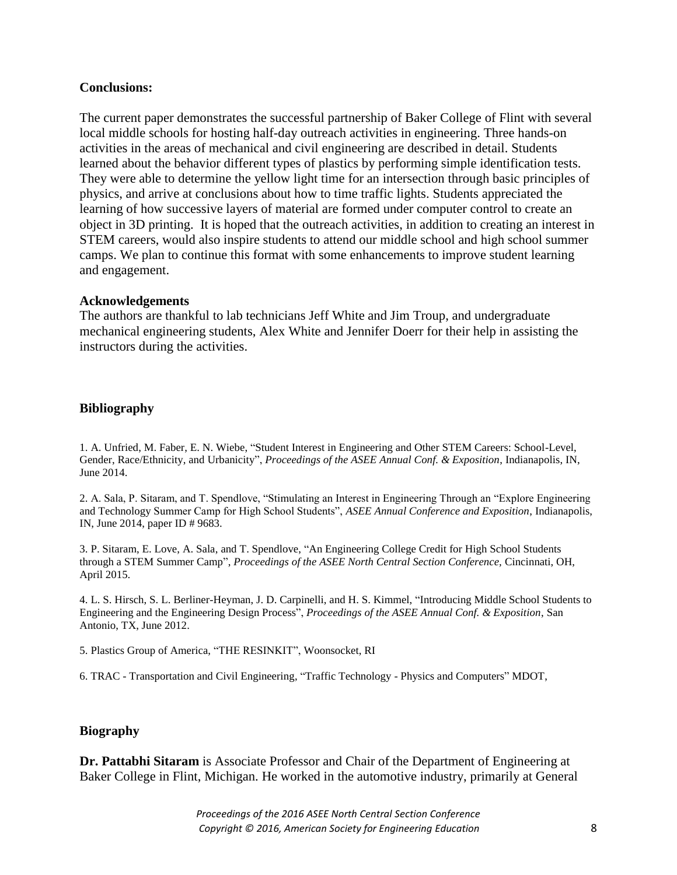## **Conclusions:**

The current paper demonstrates the successful partnership of Baker College of Flint with several local middle schools for hosting half-day outreach activities in engineering. Three hands-on activities in the areas of mechanical and civil engineering are described in detail. Students learned about the behavior different types of plastics by performing simple identification tests. They were able to determine the yellow light time for an intersection through basic principles of physics, and arrive at conclusions about how to time traffic lights. Students appreciated the learning of how successive layers of material are formed under computer control to create an object in 3D printing. It is hoped that the outreach activities, in addition to creating an interest in STEM careers, would also inspire students to attend our middle school and high school summer camps. We plan to continue this format with some enhancements to improve student learning and engagement.

#### **Acknowledgements**

The authors are thankful to lab technicians Jeff White and Jim Troup, and undergraduate mechanical engineering students, Alex White and Jennifer Doerr for their help in assisting the instructors during the activities.

## **Bibliography**

1. A. Unfried, M. Faber, E. N. Wiebe, "Student Interest in Engineering and Other STEM Careers: School-Level, Gender, Race/Ethnicity, and Urbanicity", *Proceedings of the ASEE Annual Conf. & Exposition*, Indianapolis, IN, June 2014.

2. A. Sala, P. Sitaram, and T. Spendlove, "Stimulating an Interest in Engineering Through an "Explore Engineering and Technology Summer Camp for High School Students", *ASEE Annual Conference and Exposition*, Indianapolis, IN, June 2014, paper ID # 9683.

3. P. Sitaram, E. Love, A. Sala, and T. Spendlove, "An Engineering College Credit for High School Students through a STEM Summer Camp", *Proceedings of the ASEE North Central Section Conference,* Cincinnati, OH, April 2015*.*

4. L. S. Hirsch, S. L. Berliner-Heyman, J. D. Carpinelli, and H. S. Kimmel, "Introducing Middle School Students to Engineering and the Engineering Design Process", *Proceedings of the ASEE Annual Conf. & Exposition*, San Antonio, TX, June 2012.

5. Plastics Group of America, "THE RESINKIT", Woonsocket, RI

6. TRAC - Transportation and Civil Engineering, "Traffic Technology - Physics and Computers" MDOT,

#### **Biography**

**Dr. Pattabhi Sitaram** is Associate Professor and Chair of the Department of Engineering at Baker College in Flint, Michigan. He worked in the automotive industry, primarily at General